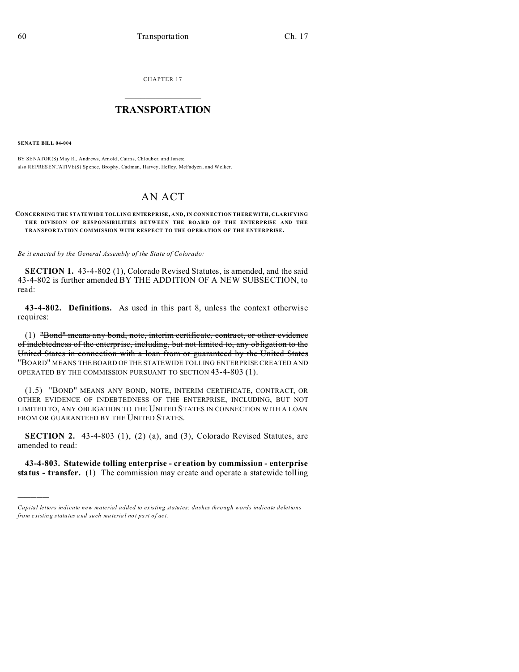CHAPTER 17

## **TRANSPORTATION**

**SENATE BILL 04-004** 

BY SENATOR(S) May R., Andrews, Arnold, Cairns, Chlouber, and Jones; also REPRESENTATIVE(S) Spence, Brophy, Cadman, Harvey, Hefley, McFadyen, and Welker.

# **AN ACT**

#### CONCERNING THE STATEWIDE TOLLING ENTERPRISE, AND, IN CONNECTION THERE WITH, CLARIFYING THE DIVISION OF RESPONSIBILITIES BETWEEN THE BOARD OF THE ENTERPRISE AND THE TRANSPORTATION COMMISSION WITH RESPECT TO THE OPERATION OF THE ENTERPRISE.

Be it enacted by the General Assembly of the State of Colorado:

SECTION 1. 43-4-802 (1), Colorado Revised Statutes, is amended, and the said 43-4-802 is further amended BY THE ADDITION OF A NEW SUBSECTION, to read:

43-4-802. Definitions. As used in this part 8, unless the context otherwise requires:

(1) "Bond" means any bond, note, interim certificate, contract, or other evidence of indebtedness of the enterprise, including, but not limited to, any obligation to the United States in connection with a loan from or guaranteed by the United States "BOARD" MEANS THE BOARD OF THE STATEWIDE TOLLING ENTERPRISE CREATED AND OPERATED BY THE COMMISSION PURSUANT TO SECTION 43-4-803 (1).

(1.5) "BOND" MEANS ANY BOND, NOTE, INTERIM CERTIFICATE, CONTRACT, OR OTHER EVIDENCE OF INDEBTEDNESS OF THE ENTERPRISE, INCLUDING, BUT NOT LIMITED TO, ANY OBLIGATION TO THE UNITED STATES IN CONNECTION WITH A LOAN FROM OR GUARANTEED BY THE UNITED STATES.

**SECTION 2.** 43-4-803  $(1)$ ,  $(2)$   $(a)$ , and  $(3)$ , Colorado Revised Statutes, are amended to read:

43-4-803. Statewide tolling enterprise - creation by commission - enterprise status - transfer. (1) The commission may create and operate a statewide tolling

Capital letters indicate new material added to existing statutes; dashes through words indicate deletions from existing statutes and such material not part of act.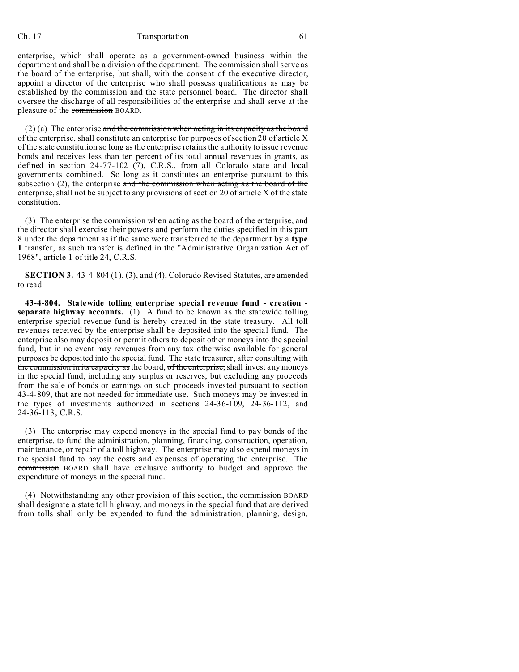## Ch. 17 Transportation 61

enterprise, which shall operate as a government-owned business within the department and shall be a division of the department. The commission shall serve as the board of the enterprise, but shall, with the consent of the executive director, appoint a director of the enterprise who shall possess qualifications as may be established by the commission and the state personnel board. The director shall oversee the discharge of all responsibilities of the enterprise and shall serve at the pleasure of the commission BOARD.

 $(2)$  (a) The enterprise and the commission when acting in its capacity as the board of the enterprise, shall constitute an enterprise for purposes of section 20 of article X of the state constitution so long as the enterprise retains the authority to issue revenue bonds and receives less than ten percent of its total annual revenues in grants, as defined in section 24-77-102 (7), C.R.S., from all Colorado state and local governments combined. So long as it constitutes an enterprise pursuant to this subsection  $(2)$ , the enterprise and the commission when acting as the board of the enterprise, shall not be subject to any provisions of section 20 of article X of the state constitution.

(3) The enterprise the commission when acting as the board of the enterprise, and the director shall exercise their powers and perform the duties specified in this part 8 under the department as if the same were transferred to the department by a **type 1** transfer, as such transfer is defined in the "Administrative Organization Act of 1968", article 1 of title 24, C.R.S.

**SECTION 3.** 43-4-804 (1), (3), and (4), Colorado Revised Statutes, are amended to read:

**43-4-804. Statewide tolling enterprise special revenue fund - creation separate highway accounts.** (1) A fund to be known as the statewide tolling enterprise special revenue fund is hereby created in the state treasury. All toll revenues received by the enterprise shall be deposited into the special fund. The enterprise also may deposit or permit others to deposit other moneys into the special fund, but in no event may revenues from any tax otherwise available for general purposes be deposited into the special fund. The state treasurer, after consulting with the commission in its capacity as the board, of the enterprise, shall invest any moneys in the special fund, including any surplus or reserves, but excluding any proceeds from the sale of bonds or earnings on such proceeds invested pursuant to section 43-4-809, that are not needed for immediate use. Such moneys may be invested in the types of investments authorized in sections 24-36-109, 24-36-112, and 24-36-113, C.R.S.

(3) The enterprise may expend moneys in the special fund to pay bonds of the enterprise, to fund the administration, planning, financing, construction, operation, maintenance, or repair of a toll highway. The enterprise may also expend moneys in the special fund to pay the costs and expenses of operating the enterprise. The commission BOARD shall have exclusive authority to budget and approve the expenditure of moneys in the special fund.

(4) Notwithstanding any other provision of this section, the commission BOARD shall designate a state toll highway, and moneys in the special fund that are derived from tolls shall only be expended to fund the administration, planning, design,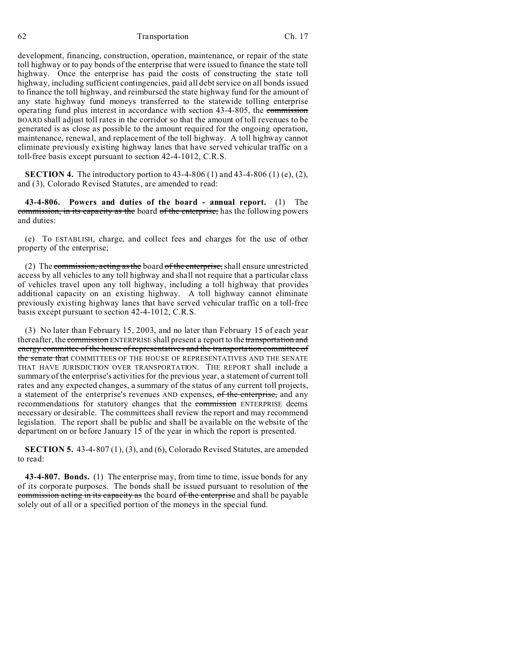62 Transportation Ch. 17

development, financing, construction, operation, maintenance, or repair of the state toll highway or to pay bonds of the enterprise that were issued to finance the state toll highway. Once the enterprise has paid the costs of constructing the state toll highway, including sufficient contingencies, paid all debt service on all bonds issued to finance the toll highway, and reimbursed the state highway fund for the amount of any state highway fund moneys transferred to the statewide tolling enterprise operating fund plus interest in accordance with section 43-4-805, the commission BOARD shall adjust toll rates in the corridor so that the amount of toll revenues to be generated is as close as possible to the amount required for the ongoing operation, maintenance, renewal, and replacement of the toll highway. A toll highway cannot eliminate previously existing highway lanes that have served vehicular traffic on a toll-free basis except pursuant to section 42-4-1012, C.R.S.

**SECTION 4.** The introductory portion to  $43-4-806$  (1) and  $43-4-806$  (1) (e), (2), and (3), Colorado Revised Statutes, are amended to read:

**43-4-806. Powers and duties of the board - annual report.** (1) The commission, in its capacity as the board of the enterprise, has the following powers and duties:

(e) To ESTABLISH, charge, and collect fees and charges for the use of other property of the enterprise;

(2) The commission, acting as the board of the enterprise, shall ensure unrestricted access by all vehicles to any toll highway and shall not require that a particular class of vehicles travel upon any toll highway, including a toll highway that provides additional capacity on an existing highway. A toll highway cannot eliminate previously existing highway lanes that have served vehicular traffic on a toll-free basis except pursuant to section 42-4-1012, C.R.S.

(3) No later than February 15, 2003, and no later than February 15 of each year thereafter, the commission ENTERPRISE shall present a report to the transportation and energy committee of the house of representatives and the transportation committee of the senate that COMMITTEES OF THE HOUSE OF REPRESENTATIVES AND THE SENATE THAT HAVE JURISDICTION OVER TRANSPORTATION. THE REPORT shall include a summary of the enterprise's activities for the previous year, a statement of current toll rates and any expected changes, a summary of the status of any current toll projects, a statement of the enterprise's revenues AND expenses, of the enterprise, and any recommendations for statutory changes that the commission ENTERPRISE deems necessary or desirable. The committees shall review the report and may recommend legislation. The report shall be public and shall be available on the website of the department on or before January 15 of the year in which the report is presented.

**SECTION 5.** 43-4-807 (1), (3), and (6), Colorado Revised Statutes, are amended to read:

**43-4-807. Bonds.** (1) The enterprise may, from time to time, issue bonds for any of its corporate purposes. The bonds shall be issued pursuant to resolution of the commission acting in its capacity as the board of the enterprise and shall be payable solely out of all or a specified portion of the moneys in the special fund.